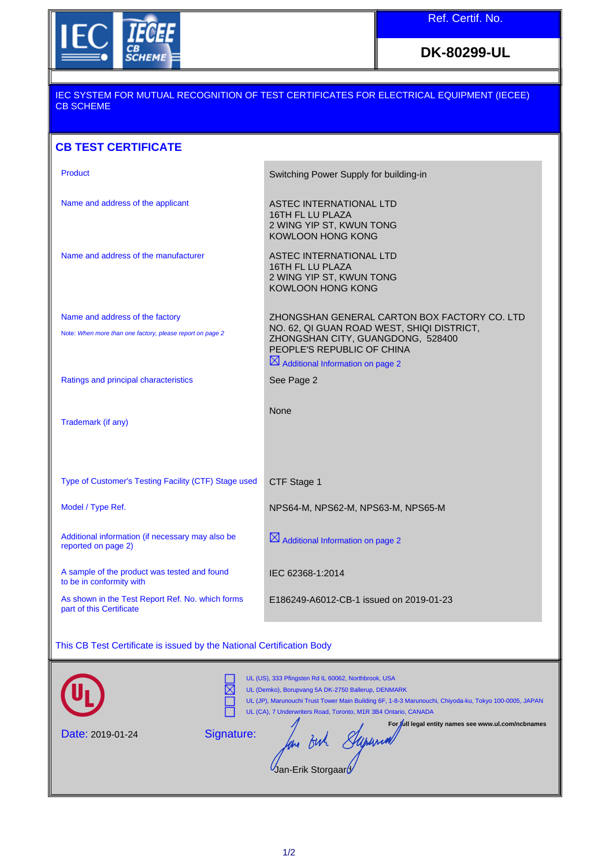

**DK-80299-UL**

## IEC SYSTEM FOR MUTUAL RECOGNITION OF TEST CERTIFICATES FOR ELECTRICAL EQUIPMENT (IECEE) CB SCHEME

## **CB TEST CERTIFICATE**

| Product                                                                  | Switching Power Supply for building-in                                                                        |
|--------------------------------------------------------------------------|---------------------------------------------------------------------------------------------------------------|
| Name and address of the applicant                                        | ASTEC INTERNATIONAL LTD<br>16TH FL LU PLAZA<br>2 WING YIP ST, KWUN TONG<br><b>KOWLOON HONG KONG</b>           |
| Name and address of the manufacturer                                     | ASTEC INTERNATIONAL LTD<br>16TH FL LU PLAZA<br>2 WING YIP ST, KWUN TONG<br><b>KOWLOON HONG KONG</b>           |
| Name and address of the factory                                          | ZHONGSHAN GENERAL CARTON BOX FACTORY CO. LTD                                                                  |
| Note: When more than one factory, please report on page 2                | NO. 62, QI GUAN ROAD WEST, SHIQI DISTRICT,<br>ZHONGSHAN CITY, GUANGDONG, 528400<br>PEOPLE'S REPUBLIC OF CHINA |
|                                                                          | $\boxtimes$ Additional Information on page 2                                                                  |
| Ratings and principal characteristics                                    | See Page 2                                                                                                    |
| Trademark (if any)                                                       | None                                                                                                          |
| Type of Customer's Testing Facility (CTF) Stage used                     | CTF Stage 1                                                                                                   |
| Model / Type Ref.                                                        | NPS64-M, NPS62-M, NPS63-M, NPS65-M                                                                            |
| Additional information (if necessary may also be<br>reported on page 2)  | $\boxtimes$ Additional Information on page 2                                                                  |
|                                                                          |                                                                                                               |
| A sample of the product was tested and found<br>to be in conformity with | IEC 62368-1:2014                                                                                              |

## This CB Test Certificate is issued by the National Certification Body

|                         | UL (US), 333 Pfingsten Rd IL 60062, Northbrook, USA<br>UL (Demko), Borupvang 5A DK-2750 Ballerup, DENMARK<br>UL (JP), Marunouchi Trust Tower Main Building 6F, 1-8-3 Marunouchi, Chiyoda-ku, Tokyo 100-0005, JAPAN<br>UL (CA), 7 Underwriters Road, Toronto, M1R 3B4 Ontario, CANADA |
|-------------------------|--------------------------------------------------------------------------------------------------------------------------------------------------------------------------------------------------------------------------------------------------------------------------------------|
| <b>Date: 2019-01-24</b> | For full legal entity names see www.ul.com/ncbnames<br>Signature:<br>Jan-Erik Storgaard                                                                                                                                                                                              |